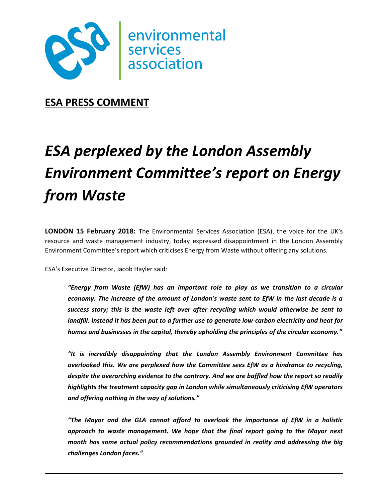

**ESA PRESS COMMENT**

# *ESA perplexed by the London Assembly Environment Committee's report on Energy from Waste*

**LONDON 15 February 2018:** The Environmental Services Association (ESA), the voice for the UK's resource and waste management industry, today expressed disappointment in the London Assembly Environment Committee's report which criticises Energy from Waste without offering any solutions.

ESA's Executive Director, Jacob Hayler said:

*"Energy from Waste (EfW) has an important role to play as we transition to a circular economy. The increase of the amount of London's waste sent to EfW in the last decade is a success story; this is the waste left over after recycling which would otherwise be sent to landfill. Instead it has been put to a further use to generate low-carbon electricity and heat for homes and businesses in the capital, thereby upholding the principles of the circular economy."*

*"It is incredibly disappointing that the London Assembly Environment Committee has overlooked this. We are perplexed how the Committee sees EfW as a hindrance to recycling, despite the overarching evidence to the contrary. And we are baffled how the report so readily highlights the treatment capacity gap in London while simultaneously criticising EfW operators and offering nothing in the way of solutions."*

*"The Mayor and the GLA cannot afford to overlook the importance of EfW in a holistic approach to waste management. We hope that the final report going to the Mayor next month has some actual policy recommendations grounded in reality and addressing the big challenges London faces."*